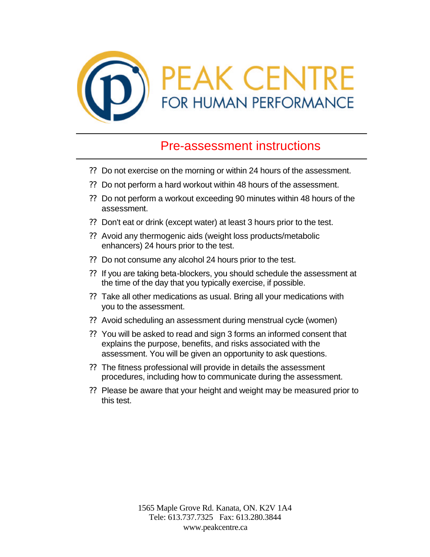

## Pre-assessment instructions

- ?? Do not exercise on the morning or within 24 hours of the assessment.
- ?? Do not perform a hard workout within 48 hours of the assessment.
- ?? Do not perform a workout exceeding 90 minutes within 48 hours of the assessment.
- ?? Don't eat or drink (except water) at least 3 hours prior to the test.
- ?? Avoid any thermogenic aids (weight loss products/metabolic enhancers) 24 hours prior to the test.
- ?? Do not consume any alcohol 24 hours prior to the test.
- ?? If you are taking beta-blockers, you should schedule the assessment at the time of the day that you typically exercise, if possible.
- ?? Take all other medications as usual. Bring all your medications with you to the assessment.
- ?? Avoid scheduling an assessment during menstrual cycle (women)
- ?? You will be asked to read and sign 3 forms an informed consent that explains the purpose, benefits, and risks associated with the assessment. You will be given an opportunity to ask questions.
- ?? The fitness professional will provide in details the assessment procedures, including how to communicate during the assessment.
- ?? Please be aware that your height and weight may be measured prior to this test.